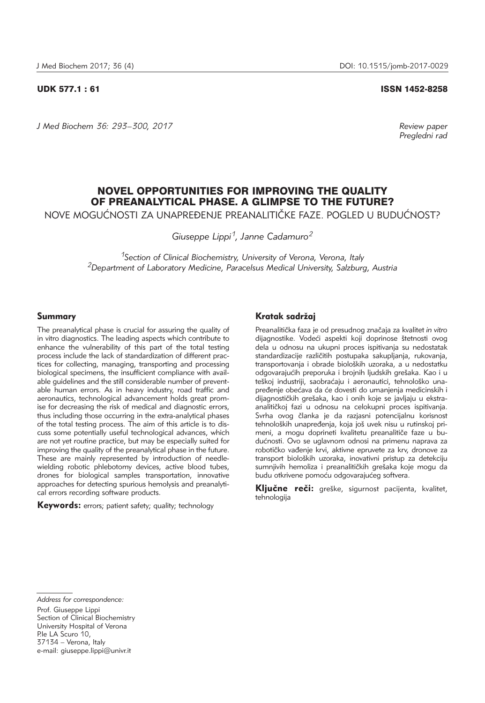*J Med Biochem 36: 293–300, 2017 Review paper*

UDK 577.1 : 61 ISSN 1452-8258

*Pregledni rad*

# NOVEL OPPORTUNITIES FOR IMPROVING THE QUALITY OF PREANALYTICAL PHASE. A GLIMPSE TO THE FUTURE?

NOVE MOGUĆNOSTI ZA UNAPREĐENJE PREANALITIČKE FAZE. POGLED U BUDUĆNOST?

*Giuseppe Lippi1, Janne Cadamuro2*

*1Section of Clinical Biochemistry, University of Verona, Verona, Italy 2Department of Laboratory Medicine, Paracelsus Medical University, Salzburg, Austria*

# Summary

The preanalytical phase is crucial for assuring the quality of in vitro diagnostics. The leading aspects which contribute to enhance the vulnerability of this part of the total testing process include the lack of standardization of different practices for collecting, managing, transporting and processing biological specimens, the insufficient compliance with available guidelines and the still considerable number of preventable human errors. As in heavy industry, road traffic and aeronautics, technological advancement holds great promise for decreasing the risk of medical and diagnostic errors, thus including those occurring in the extra-analytical phases of the total testing process. The aim of this article is to discuss some potentially useful technological advances, which are not yet routine practice, but may be especially suited for improving the quality of the preanalytical phase in the future. These are mainly represented by introduction of needlewielding robotic phlebotomy devices, active blood tubes, drones for biological samples transportation, innovative approaches for detecting spurious hemolysis and preanalytical errors recording software products.

**Keywords:** errors; patient safety; quality; technology

# Kratak sadržaj

Preanalitička faza je od presudnog značaja za kvalitet *in vitro* dijagnostike. Vodeći aspekti koji doprinose štetnosti ovog dela u odnosu na ukupni proces ispitivanja su nedostatak standardizacije različitih postupaka sakupljanja, rukovanja, transportovanja i obrade bioloških uzoraka, a u nedostatku odgovarajućih preporuka i brojnih ljudskih grešaka. Kao i u teškoj industriji, saobraćaju i aeronautici, tehnološko unapređenje obećava da će dovesti do umanjenja medicinskih i dijagnostičkih grešaka, kao i onih koje se javljaju u ekstraanalitičkoj fazi u odnosu na celokupni proces ispitivanja. Svrha ovog članka je da razjasni potencijalnu korisnost tehnoloških unapređenja, koja još uvek nisu u rutinskoj primeni, a mogu doprineti kvalitetu preanalitiče faze u budućnosti. Ovo se uglavnom odnosi na primenu naprava za robotičko vađenje krvi, aktivne epruvete za krv, dronove za transport biolo{kih uzoraka, inovativni pristup za detekciju sumnjivih hemoliza i preanalitičkih grešaka koje mogu da budu otkrivene pomoću odgovarajućeg softvera.

Ključne reči: greške, sigurnost pacijenta, kvalitet, tehnologija

*Address for correspondence:* Prof. Giuseppe Lippi Section of Clinical Biochemistry University Hospital of Verona P.le LA Scuro 10, 37134 – Verona, Italy e-mail: giuseppe.lippi@univr.it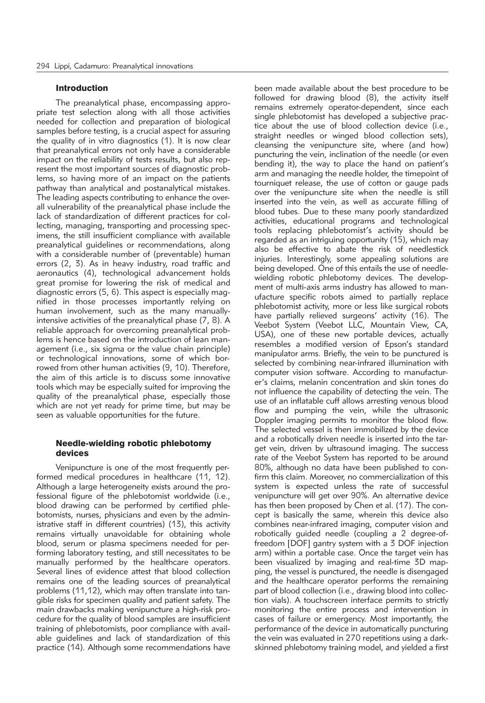#### Introduction

The preanalytical phase, encompassing appropriate test selection along with all those activities needed for collection and preparation of biological samples before testing, is a crucial aspect for assuring the quality of in vitro diagnostics (1). It is now clear that preanalytical errors not only have a considerable impact on the reliability of tests results, but also represent the most important sources of diagnostic problems, so having more of an impact on the patients pathway than analytical and postanalytical mistakes. The leading aspects contributing to enhance the overall vulnerability of the preanalytical phase include the lack of standardization of different practices for collecting, managing, transporting and processing specimens, the still insufficient compliance with available preanalytical guidelines or recommendations, along with a considerable number of (preventable) human errors (2, 3). As in heavy industry, road traffic and aeronautics (4), technological advancement holds great promise for lowering the risk of medical and diagnostic errors (5, 6). This aspect is especially magnified in those processes importantly relying on human involvement, such as the many manuallyintensive activities of the preanalytical phase (7, 8). A reliable approach for overcoming preanalytical problems is hence based on the introduction of lean management (i.e., six sigma or the value chain principle) or technological innovations, some of which borrowed from other human activities (9, 10). Therefore, the aim of this article is to discuss some innovative tools which may be especially suited for improving the quality of the preanalytical phase, especially those which are not yet ready for prime time, but may be seen as valuable opportunities for the future.

## Needle-wielding robotic phlebotomy devices

Venipuncture is one of the most frequently performed medical procedures in healthcare (11, 12). Although a large heterogeneity exists around the professional figure of the phlebotomist worldwide (i.e., blood drawing can be performed by certified phlebotomists, nurses, physicians and even by the administrative staff in different countries) (13), this activity remains virtually unavoidable for obtaining whole blood, serum or plasma specimens needed for performing laboratory testing, and still necessitates to be manually performed by the healthcare operators. Several lines of evidence attest that blood collection remains one of the leading sources of preanalytical problems (11,12), which may often translate into tangible risks for specimen quality and patient safety. The main drawbacks making venipuncture a high-risk procedure for the quality of blood samples are insufficient training of phlebotomists, poor compliance with available guidelines and lack of standardization of this practice (14). Although some recommendations have

been made available about the best procedure to be followed for drawing blood (8), the activity itself remains extremely operator-dependent, since each single phlebotomist has developed a subjective practice about the use of blood collection device (i.e., straight needles or winged blood collection sets), cleansing the venipuncture site, where (and how) puncturing the vein, inclination of the needle (or even bending it), the way to place the hand on patient's arm and managing the needle holder, the timepoint of tourniquet release, the use of cotton or gauge pads over the venipuncture site when the needle is still inserted into the vein, as well as accurate filling of blood tubes. Due to these many poorly standardized activities, educational programs and technological tools replacing phlebotomist's activity should be regarded as an intriguing opportunity (15), which may also be effective to abate the risk of needlestick injuries. Interestingly, some appealing solutions are being developed. One of this entails the use of needlewielding robotic phlebotomy devices. The development of multi-axis arms industry has allowed to manufacture specific robots aimed to partially replace phlebotomist activity, more or less like surgical robots have partially relieved surgeons' activity (16). The Veebot System (Veebot LLC, Mountain View, CA, USA), one of these new portable devices, actually resembles a modified version of Epson's standard manipulator arms. Briefly, the vein to be punctured is selected by combining near-infrared illumination with computer vision software. According to manufacturer's claims, melanin concentration and skin tones do not influence the capability of detecting the vein. The use of an inflatable cuff allows arresting venous blood flow and pumping the vein, while the ultrasonic Doppler imaging permits to monitor the blood flow. The selected vessel is then immobilized by the device and a robotically driven needle is inserted into the target vein, driven by ultrasound imaging. The success rate of the Veebot System has reported to be around 80%, although no data have been published to confirm this claim. Moreover, no commercialization of this system is expected unless the rate of successful venipuncture will get over 90%. An alternative device has then been proposed by Chen et al. (17). The concept is basically the same, wherein this device also combines near-infrared imaging, computer vision and robotically guided needle (coupling a 2 degree-offreedom [DOF] gantry system with a 3 DOF injection arm) within a portable case. Once the target vein has been visualized by imaging and real-time 3D mapping, the vessel is punctured, the needle is disengaged and the healthcare operator performs the remaining part of blood collection (i.e., drawing blood into collection vials). A touchscreen interface permits to strictly monitoring the entire process and intervention in cases of failure or emergency. Most importantly, the performance of the device in automatically puncturing the vein was evaluated in 270 repetitions using a darkskinned phlebotomy training model, and yielded a first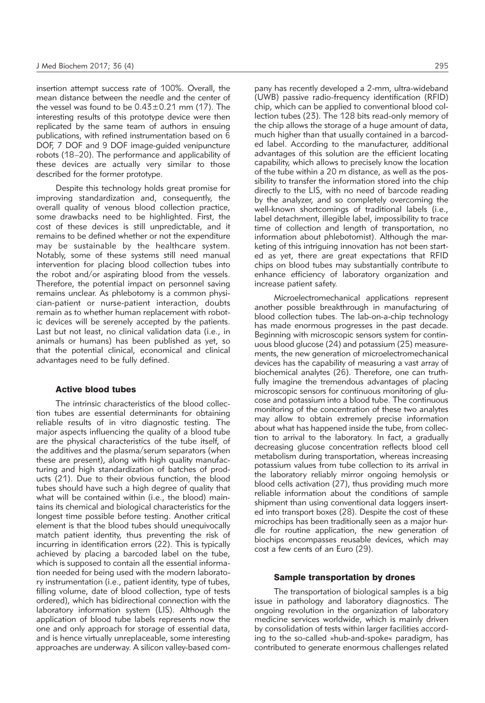insertion attempt success rate of 100%. Overall, the mean distance between the needle and the center of the vessel was found to be 0.43±0.21 mm (17). The interesting results of this prototype device were then replicated by the same team of authors in ensuing publications, with refined instrumentation based on 6 DOF, 7 DOF and 9 DOF image-guided venipuncture robots (18–20). The performance and applicability of these devices are actually very similar to those described for the former prototype.

Despite this technology holds great promise for improving standardization and, consequently, the overall quality of venous blood collection practice, some drawbacks need to be highlighted. First, the cost of these devices is still unpredictable, and it remains to be defined whether or not the expenditure may be sustainable by the healthcare system. Notably, some of these systems still need manual intervention for placing blood collection tubes into the robot and/or aspirating blood from the vessels. Therefore, the potential impact on personnel saving remains unclear. As phlebotomy is a common physician-patient or nurse-patient interaction, doubts remain as to whether human replacement with robotic devices will be serenely accepted by the patients. Last but not least, no clinical validation data (i.e., in animals or humans) has been published as yet, so that the potential clinical, economical and clinical advantages need to be fully defined.

### Active blood tubes

The intrinsic characteristics of the blood collection tubes are essential determinants for obtaining reliable results of in vitro diagnostic testing. The major aspects influencing the quality of a blood tube are the physical characteristics of the tube itself, of the additives and the plasma/serum separators (when these are present), along with high quality manufacturing and high standardization of batches of products (21). Due to their obvious function, the blood tubes should have such a high degree of quality that what will be contained within (i.e., the blood) maintains its chemical and biological characteristics for the longest time possible before testing. Another critical element is that the blood tubes should unequivocally match patient identity, thus preventing the risk of incurring in identification errors (22). This is typically achieved by placing a barcoded label on the tube, which is supposed to contain all the essential information needed for being used with the modern laboratory instrumentation (i.e., patient identity, type of tubes, filling volume, date of blood collection, type of tests ordered), which has bidirectional connection with the laboratory information system (LIS). Although the application of blood tube labels represents now the one and only approach for storage of essential data, and is hence virtually unreplaceable, some interesting approaches are underway. A silicon valley-based com-

pany has recently developed a 2-mm, ultra-wideband (UWB) passive radio-frequency identification (RFID) chip, which can be applied to conventional blood collection tubes (23). The 128 bits read-only memory of the chip allows the storage of a huge amount of data, much higher than that usually contained in a barcoded label. According to the manufacturer, additional advantages of this solution are the efficient locating capability, which allows to precisely know the location of the tube within a 20 m distance, as well as the possibility to transfer the information stored into the chip directly to the LIS, with no need of barcode reading by the analyzer, and so completely overcoming the well-known shortcomings of traditional labels (i.e., label detachment, illegible label, impossibility to trace time of collection and length of transportation, no information about phlebotomist). Although the marketing of this intriguing innovation has not been started as yet, there are great expectations that RFID chips on blood tubes may substantially contribute to enhance efficiency of laboratory organization and increase patient safety.

Microelectromechanical applications represent another possible breakthrough in manufacturing of blood collection tubes. The lab-on-a-chip technology has made enormous progresses in the past decade. Beginning with microscopic sensors system for continuous blood glucose (24) and potassium (25) measurements, the new generation of microelectromechanical devices has the capability of measuring a vast array of biochemical analytes (26). Therefore, one can truthfully imagine the tremendous advantages of placing microscopic sensors for continuous monitoring of glucose and potassium into a blood tube. The continuous monitoring of the concentration of these two analytes may allow to obtain extremely precise information about what has happened inside the tube, from collection to arrival to the laboratory. In fact, a gradually decreasing glucose concentration reflects blood cell metabolism during transportation, whereas increasing potassium values from tube collection to its arrival in the laboratory reliably mirror ongoing hemolysis or blood cells activation (27), thus providing much more reliable information about the conditions of sample shipment than using conventional data loggers inserted into transport boxes (28). Despite the cost of these microchips has been traditionally seen as a major hurdle for routine application, the new generation of biochips encompasses reusable devices, which may cost a few cents of an Euro (29).

#### Sample transportation by drones

The transportation of biological samples is a big issue in pathology and laboratory diagnostics. The ongoing revolution in the organization of laboratory medicine services worldwide, which is mainly driven by consolidation of tests within larger facilities according to the so-called »hub-and-spoke« paradigm, has contributed to generate enormous challenges related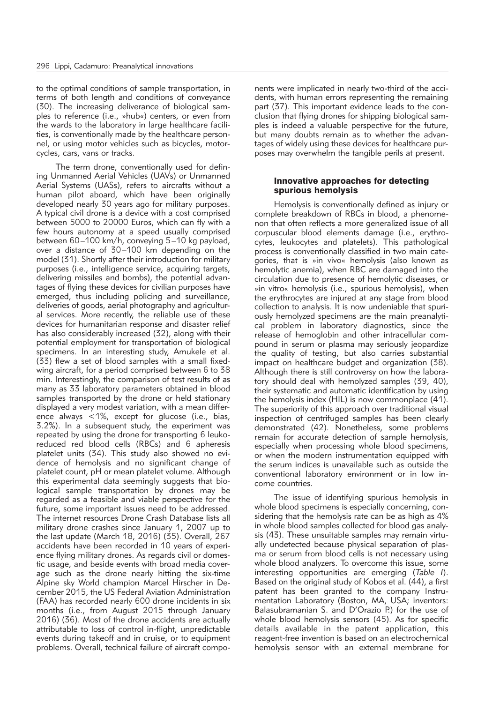to the optimal conditions of sample transportation, in terms of both length and conditions of conveyance (30). The increasing deliverance of biological samples to reference (i.e., »hub«) centers, or even from the wards to the laboratory in large healthcare facilities, is conventionally made by the healthcare personnel, or using motor vehicles such as bicycles, motorcycles, cars, vans or tracks.

The term drone, conventionally used for defining Unmanned Aerial Vehicles (UAVs) or Unmanned Aerial Systems (UASs), refers to aircrafts without a human pilot aboard, which have been originally developed nearly 30 years ago for military purposes. A typical civil drone is a device with a cost comprised between 5000 to 20000 Euros, which can fly with a few hours autonomy at a speed usually comprised between 60–100 km/h, conveying 5–10 kg payload, over a distance of 30–100 km depending on the model (31). Shortly after their introduction for military purposes (i.e., intelligence service, acquiring targets, delivering missiles and bombs), the potential advantages of flying these devices for civilian purposes have emerged, thus including policing and surveillance, deliveries of goods, aerial photography and agricultural services. More recently, the reliable use of these devices for humanitarian response and disaster relief has also considerably increased (32), along with their potential employment for transportation of biological specimens. In an interesting study, Amukele et al. (33) flew a set of blood samples with a small fixedwing aircraft, for a period comprised between 6 to 38 min. Interestingly, the comparison of test results of as many as 33 laboratory parameters obtained in blood samples transported by the drone or held stationary displayed a very modest variation, with a mean difference always <1%, except for glucose (i.e., bias, 3.2%). In a subsequent study, the experiment was repeated by using the drone for transporting 6 leukoreduced red blood cells (RBCs) and 6 apheresis platelet units (34). This study also showed no evidence of hemolysis and no significant change of platelet count, pH or mean platelet volume. Although this experimental data seemingly suggests that biological sample transportation by drones may be regarded as a feasible and viable perspective for the future, some important issues need to be addressed. The internet resources Drone Crash Database lists all military drone crashes since January 1, 2007 up to the last update (March 18, 2016) (35). Overall, 267 accidents have been recorded in 10 years of experience flying military drones. As regards civil or domestic usage, and beside events with broad media coverage such as the drone nearly hitting the six-time Alpine sky World champion Marcel Hirscher in December 2015, the US Federal Aviation Administration (FAA) has recorded nearly 600 drone incidents in six months (i.e., from August 2015 through January 2016) (36). Most of the drone accidents are actually attributable to loss of control in-flight, unpredictable events during takeoff and in cruise, or to equipment problems. Overall, technical failure of aircraft components were implicated in nearly two-third of the accidents, with human errors representing the remaining part (37). This important evidence leads to the conclusion that flying drones for shipping biological samples is indeed a valuable perspective for the future, but many doubts remain as to whether the advantages of widely using these devices for healthcare purposes may overwhelm the tangible perils at present.

# Innovative approaches for detecting spurious hemolysis

Hemolysis is conventionally defined as injury or complete breakdown of RBCs in blood, a phenomenon that often reflects a more generalized issue of all corpuscular blood elements damage (i.e., erythrocytes, leukocytes and platelets). This pathological process is conventionally classified in two main categories, that is »in vivo« hemolysis (also known as hemolytic anemia), when RBC are damaged into the circulation due to presence of hemolytic diseases, or »in vitro« hemolysis (i.e., spurious hemolysis), when the erythrocytes are injured at any stage from blood collection to analysis. It is now undeniable that spuriously hemolyzed specimens are the main preanalytical problem in laboratory diagnostics, since the release of hemoglobin and other intracellular compound in serum or plasma may seriously jeopardize the quality of testing, but also carries substantial impact on healthcare budget and organization (38). Although there is still controversy on how the laboratory should deal with hemolyzed samples (39, 40), their systematic and automatic identification by using the hemolysis index (HIL) is now commonplace (41). The superiority of this approach over traditional visual inspection of centrifuged samples has been clearly demonstrated (42). Nonetheless, some problems remain for accurate detection of sample hemolysis, especially when processing whole blood specimens, or when the modern instrumentation equipped with the serum indices is unavailable such as outside the conventional laboratory environment or in low income countries.

The issue of identifying spurious hemolysis in whole blood specimens is especially concerning, considering that the hemolysis rate can be as high as 4% in whole blood samples collected for blood gas analysis (43). These unsuitable samples may remain virtually undetected because physical separation of plasma or serum from blood cells is not necessary using whole blood analyzers. To overcome this issue, some interesting opportunities are emerging (*Table I*). Based on the original study of Kobos et al. (44), a first patent has been granted to the company Instrumentation Laboratory (Boston, MA, USA; inventors: Balasubramanian S. and D'Orazio P.) for the use of whole blood hemolysis sensors (45). As for specific details available in the patent application, this reagent-free invention is based on an electrochemical hemolysis sensor with an external membrane for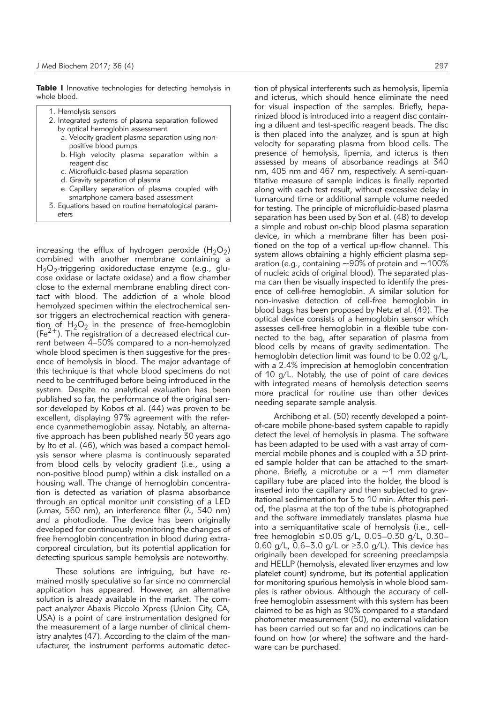Table I Innovative technologies for detecting hemolysis in whole blood.

- 1. Hemolysis sensors
- 2. Integrated systems of plasma separation followed
	- by optical hemoglobin assessment
		- a. Velocity gradient plasma separation using nonpositive blood pumps
		- b. High velocity plasma separation within a reagent disc
		- c. Microfluidic-based plasma separation
		- d. Gravity separation of plasma
		- e. Capillary separation of plasma coupled with smartphone camera-based assessment
- 3. Equations based on routine hematological parameters

increasing the efflux of hydrogen peroxide  $(H_2O_2)$ combined with another membrane containing a  $H_2O_2$ -triggering oxidoreductase enzyme (e.g., glucose oxidase or lactate oxidase) and a flow chamber close to the external membrane enabling direct contact with blood. The addiction of a whole blood hemolyzed specimen within the electrochemical sensor triggers an electrochemical reaction with generation of  $H_2O_2$  in the presence of free-hemoglobin  $(Fe<sup>2+</sup>)$ . The registration of a decreased electrical current between  $4-50\%$  compared to a non-hemolyzed whole blood specimen is then suggestive for the presence of hemolysis in blood. The major advantage of this technique is that whole blood specimens do not need to be centrifuged before being introduced in the system. Despite no analytical evaluation has been published so far, the performance of the original sensor developed by Kobos et al. (44) was proven to be excellent, displaying 97% agreement with the reference cyanmethemoglobin assay. Notably, an alternative approach has been published nearly 30 years ago by Ito et al. (46), which was based a compact hemolysis sensor where plasma is continuously separated from blood cells by velocity gradient (i.e., using a non-positive blood pump) within a disk installed on a housing wall. The change of hemoglobin concentration is detected as variation of plasma absorbance through an optical monitor unit consisting of a LED  $(\lambda$ max, 560 nm), an interference filter ( $\lambda$ , 540 nm) and a photodiode. The device has been originally developed for continuously monitoring the changes of free hemoglobin concentration in blood during extracorporeal circulation, but its potential application for detecting spurious sample hemolysis are noteworthy.

These solutions are intriguing, but have remained mostly speculative so far since no commercial application has appeared. However, an alternative solution is already available in the market. The compact analyzer Abaxis Piccolo Xpress (Union City, CA, USA) is a point of care instrumentation designed for the measurement of a large number of clinical chemistry analytes (47). According to the claim of the manufacturer, the instrument performs automatic detection of physical interferents such as hemolysis, lipemia and icterus, which should hence eliminate the need for visual inspection of the samples. Briefly, heparinized blood is introduced into a reagent disc containing a diluent and test-specific reagent beads. The disc is then placed into the analyzer, and is spun at high velocity for separating plasma from blood cells. The presence of hemolysis, lipemia, and icterus is then assessed by means of absorbance readings at 340 nm, 405 nm and 467 nm, respectively. A semi-quantitative measure of sample indices is finally reported along with each test result, without excessive delay in turnaround time or additional sample volume needed for testing. The principle of microfluidic-based plasma separation has been used by Son et al. (48) to develop a simple and robust on-chip blood plasma separation device, in which a membrane filter has been positioned on the top of a vertical up-flow channel. This system allows obtaining a highly efficient plasma separation (e.g., containing ∼90% of protein and ∼100% of nucleic acids of original blood). The separated plasma can then be visually inspected to identify the presence of cell-free hemoglobin. A similar solution for non-invasive detection of cell-free hemoglobin in blood bags has been proposed by Netz et al. (49). The optical device consists of a hemoglobin sensor which assesses cell-free hemoglobin in a flexible tube connected to the bag, after separation of plasma from blood cells by means of gravity sedimentation. The hemoglobin detection limit was found to be 0.02 g/L. with a 2.4% imprecision at hemoglobin concentration of 10 g/L. Notably, the use of point of care devices with integrated means of hemolysis detection seems more practical for routine use than other devices needing separate sample analysis.

Archibong et al. (50) recently developed a pointof-care mobile phone-based system capable to rapidly detect the level of hemolysis in plasma. The software has been adapted to be used with a vast array of commercial mobile phones and is coupled with a 3D printed sample holder that can be attached to the smartphone. Briefly, a microtube or a ∼1 mm diameter capillary tube are placed into the holder, the blood is inserted into the capillary and then subjected to gravitational sedimentation for 5 to 10 min. After this period, the plasma at the top of the tube is photographed and the software immediately translates plasma hue into a semiquantitative scale of hemolysis (i.e., cellfree hemoglobin ≤0.05 g/L, 0.05–0.30 g/L, 0.30– 0.60 g/L, 0.6–3.0 g/L or ≥3.0 g/L). This device has originally been developed for screening preeclampsia and HELLP (hemolysis, elevated liver enzymes and low platelet count) syndrome, but its potential application for monitoring spurious hemolysis in whole blood samples is rather obvious. Although the accuracy of cellfree hemoglobin assessment with this system has been claimed to be as high as 90% compared to a standard photometer measurement (50), no external validation has been carried out so far and no indications can be found on how (or where) the software and the hardware can be purchased.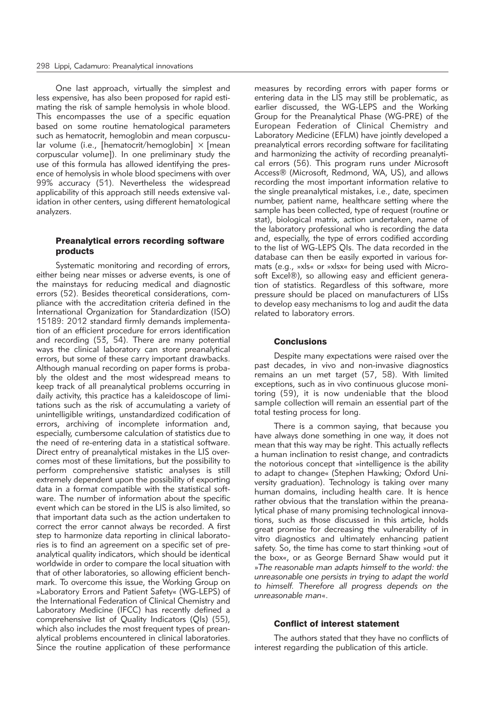One last approach, virtually the simplest and less expensive, has also been proposed for rapid estimating the risk of sample hemolysis in whole blood. This encompasses the use of a specific equation based on some routine hematological parameters such as hematocrit, hemoglobin and mean corpuscular volume (i.e., [hematocrit/hemoglobin]  $\times$  [mean corpuscular volume]). In one preliminary study the use of this formula has allowed identifying the presence of hemolysis in whole blood specimens with over 99% accuracy (51). Nevertheless the widespread applicability of this approach still needs extensive validation in other centers, using different hematological analyzers.

# Preanalytical errors recording software products

Systematic monitoring and recording of errors, either being near misses or adverse events, is one of the mainstays for reducing medical and diagnostic errors (52). Besides theoretical considerations, compliance with the accreditation criteria defined in the International Organization for Standardization (ISO) 15189: 2012 standard firmly demands implementation of an efficient procedure for errors identification and recording (53, 54). There are many potential ways the clinical laboratory can store preanalytical errors, but some of these carry important drawbacks. Although manual recording on paper forms is probably the oldest and the most widespread means to keep track of all preanalytical problems occurring in daily activity, this practice has a kaleidoscope of limitations such as the risk of accumulating a variety of unintelligible writings, unstandardized codification of errors, archiving of incomplete information and, especially, cumbersome calculation of statistics due to the need of re-entering data in a statistical software. Direct entry of preanalytical mistakes in the LIS overcomes most of these limitations, but the possibility to perform comprehensive statistic analyses is still extremely dependent upon the possibility of exporting data in a format compatible with the statistical software. The number of information about the specific event which can be stored in the LIS is also limited, so that important data such as the action undertaken to correct the error cannot always be recorded. A first step to harmonize data reporting in clinical laboratories is to find an agreement on a specific set of preanalytical quality indicators, which should be identical worldwide in order to compare the local situation with that of other laboratories, so allowing efficient benchmark. To overcome this issue, the Working Group on »Laboratory Errors and Patient Safety« (WG-LEPS) of the International Federation of Clinical Chemistry and Laboratory Medicine (IFCC) has recently defined a comprehensive list of Quality Indicators (QIs) (55), which also includes the most frequent types of preanalytical problems encountered in clinical laboratories. Since the routine application of these performance

measures by recording errors with paper forms or entering data in the LIS may still be problematic, as earlier discussed, the WG-LEPS and the Working Group for the Preanalytical Phase (WG-PRE) of the European Federation of Clinical Chemistry and Laboratory Medicine (EFLM) have jointly developed a preanalytical errors recording software for facilitating and harmonizing the activity of recording preanalytical errors (56). This program runs under Microsoft Access® (Microsoft, Redmond, WA, US), and allows recording the most important information relative to the single preanalytical mistakes, i.e., date, specimen number, patient name, healthcare setting where the sample has been collected, type of request (routine or stat), biological matrix, action undertaken, name of the laboratory professional who is recording the data and, especially, the type of errors codified according to the list of WG-LEPS QIs. The data recorded in the database can then be easily exported in various formats (e.g., »xls« or »xlsx« for being used with Microsoft Excel®), so allowing easy and efficient generation of statistics. Regardless of this software, more pressure should be placed on manufacturers of LISs to develop easy mechanisms to log and audit the data related to laboratory errors.

#### **Conclusions**

Despite many expectations were raised over the past decades, in vivo and non-invasive diagnostics remains an un met target (57, 58). With limited exceptions, such as in vivo continuous glucose monitoring (59), it is now undeniable that the blood sample collection will remain an essential part of the total testing process for long.

There is a common saying, that because you have always done something in one way, it does not mean that this way may be right. This actually reflects a human inclination to resist change, and contradicts the notorious concept that »intelligence is the ability to adapt to change« (Stephen Hawking; Oxford University graduation). Technology is taking over many human domains, including health care. It is hence rather obvious that the translation within the preanalytical phase of many promising technological innovations, such as those discussed in this article, holds great promise for decreasing the vulnerability of in vitro diagnostics and ultimately enhancing patient safety. So, the time has come to start thinking »out of the box«, or as George Bernard Shaw would put it »*The reasonable man adapts himself to the world: the unreasonable one persists in trying to adapt the world to himself. Therefore all progress depends on the unreasonable man*«.

### Conflict of interest statement

The authors stated that they have no conflicts of interest regarding the publication of this article.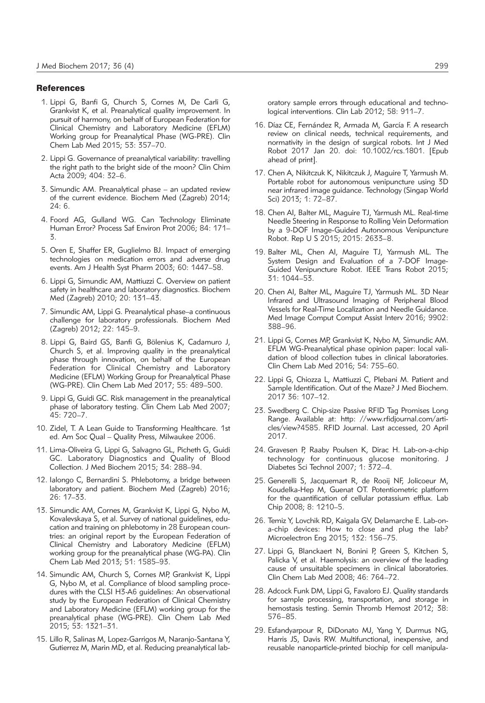#### **References**

- 1. Lippi G, Banfi G, Church S, Cornes M, De Carli G, Grankvist K, et al. Preanalytical quality improvement. In pursuit of harmony, on behalf of European Federation for Clinical Chemistry and Laboratory Medicine (EFLM) Working group for Preanalytical Phase (WG-PRE). Clin Chem Lab Med 2015; 53: 357–70.
- 2. Lippi G. Governance of preanalytical variability: travelling the right path to the bright side of the moon? Clin Chim Acta 2009; 404: 32–6.
- 3. Simundic AM. Preanalytical phase an updated review of the current evidence. Biochem Med (Zagreb) 2014; 24: 6.
- 4. Foord AG, Gulland WG. Can Technology Eliminate Human Error? Process Saf Environ Prot 2006; 84: 171– 3.
- 5. Oren E, Shaffer ER, Guglielmo BJ. Impact of emerging technologies on medication errors and adverse drug events. Am J Health Syst Pharm 2003; 60: 1447–58.
- 6. Lippi G, Simundic AM, Mattiuzzi C. Overview on patient safety in healthcare and laboratory diagnostics. Biochem Med (Zagreb) 2010; 20: 131–43.
- 7. Simundic AM, Lippi G. Preanalytical phase–a continuous challenge for laboratory professionals. Biochem Med (Zagreb) 2012; 22: 145–9.
- 8. Lippi G, Baird GS, Banfi G, Bölenius K, Cadamuro J, Church S, et al. Improving quality in the preanalytical phase through innovation, on behalf of the European Federation for Clinical Chemistry and Laboratory Medicine (EFLM) Working Group for Preanalytical Phase (WG-PRE). Clin Chem Lab Med 2017; 55: 489–500.
- 9. Lippi G, Guidi GC. Risk management in the preanalytical phase of laboratory testing. Clin Chem Lab Med 2007; 45: 720–7.
- 10. Zidel, T. A Lean Guide to Transforming Healthcare. 1st ed. Am Soc Qual – Quality Press, Milwaukee 2006.
- 11. Lima-Oliveira G, Lippi G, Salvagno GL, Picheth G, Guidi GC. Laboratory Diagnostics and Quality of Blood Collection. J Med Biochem 2015; 34: 288–94.
- 12. Ialongo C, Bernardini S. Phlebotomy, a bridge between laboratory and patient. Biochem Med (Zagreb) 2016; 26: 17–33.
- 13. Simundic AM, Cornes M, Grankvist K, Lippi G, Nybo M, Kovalevskaya S, et al. Survey of national guidelines, education and training on phlebotomy in 28 European countries: an original report by the European Federation of Clinical Chemistry and Laboratory Medicine (EFLM) working group for the preanalytical phase (WG-PA). Clin Chem Lab Med 2013; 51: 1585–93.
- 14. Simundic AM, Church S, Cornes MP, Grankvist K, Lippi G, Nybo M, et al. Compliance of blood sampling procedures with the CLSI H3-A6 guidelines: An observational study by the European Federation of Clinical Chemistry and Laboratory Medicine (EFLM) working group for the preanalytical phase (WG-PRE). Clin Chem Lab Med 2015; 53: 1321–31.
- 15. Lillo R, Salinas M, Lopez-Garrigos M, Naranjo-Santana Y, Gutierrez M, Marin MD, et al. Reducing preanalytical lab-

oratory sample errors through educational and technological interventions. Clin Lab 2012; 58: 911–7.

- 16. Díaz CE, Fernández R, Armada M, García F. A research review on clinical needs, technical requirements, and normativity in the design of surgical robots. Int J Med Robot 2017 Jan 20. doi: 10.1002/rcs.1801. [Epub ahead of print].
- 17. Chen A, Nikitczuk K, Nikitczuk J, Maguire T, Yarmush M. Portable robot for autonomous venipuncture using 3D near infrared image guidance. Technology (Singap World Sci) 2013; 1: 72–87.
- 18. Chen AI, Balter ML, Maguire TJ, Yarmush ML. Real-time Needle Steering in Response to Rolling Vein Deformation by a 9-DOF Image-Guided Autonomous Venipuncture Robot. Rep U S 2015; 2015: 2633–8.
- 19. Balter ML, Chen AI, Maguire TJ, Yarmush ML. The System Design and Evaluation of a 7-DOF Image-Guided Venipuncture Robot. IEEE Trans Robot 2015; 31: 1044–53.
- 20. Chen AI, Balter ML, Maguire TJ, Yarmush ML. 3D Near Infrared and Ultrasound Imaging of Peripheral Blood Vessels for Real-Time Localization and Needle Guidance. Med Image Comput Comput Assist Interv 2016; 9902: 388–96.
- 21. Lippi G, Cornes MP, Grankvist K, Nybo M, Simundic AM. EFLM WG-Preanalytical phase opinion paper: local validation of blood collection tubes in clinical laboratories. Clin Chem Lab Med 2016; 54: 755–60.
- 22. Lippi G, Chiozza L, Mattiuzzi C, Plebani M. Patient and Sample Identification. Out of the Maze? J Med Biochem. 2017 36: 107–12.
- 23. Swedberg C. Chip-size Passive RFID Tag Promises Long Range. Available at: http: //www.rfidjournal.com/articles/view?4585. RFID Journal. Last accessed, 20 April 2017.
- 24. Gravesen P, Raaby Poulsen K, Dirac H. Lab-on-a-chip technology for continuous glucose monitoring. J Diabetes Sci Technol 2007; 1: 372–4.
- 25. Generelli S, Jacquemart R, de Rooij NF, Jolicoeur M, Koudelka-Hep M, Guenat OT. Potentiometric platform for the quantification of cellular potassium efflux. Lab Chip 2008; 8: 1210–5.
- 26. Temiz Y, Lovchik RD, Kaigala GV, Delamarche E. Lab-ona-chip devices: How to close and plug the lab? Microelectron Eng 2015; 132: 156–75.
- 27. Lippi G, Blanckaert N, Bonini P, Green S, Kitchen S, Palicka V, et al. Haemolysis: an overview of the leading cause of unsuitable specimens in clinical laboratories. Clin Chem Lab Med 2008; 46: 764–72.
- 28. Adcock Funk DM, Lippi G, Favaloro EJ. Quality standards for sample processing, transportation, and storage in hemostasis testing. Semin Thromb Hemost 2012; 38: 576–85.
- 29. Esfandyarpour R, DiDonato MJ, Yang Y, Durmus NG, Harris JS, Davis RW. Multifunctional, inexpensive, and reusable nanoparticle-printed biochip for cell manipula-